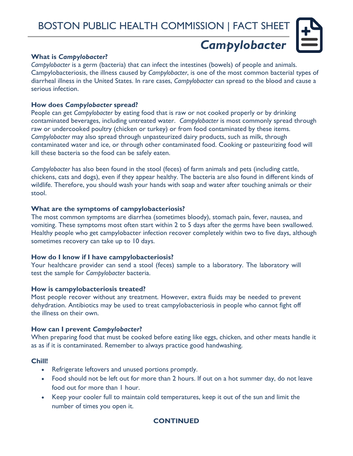

# *Campylobacter*

# **What is** *Campylobacter***?**

*Campylobacter* is a germ (bacteria) that can infect the intestines (bowels) of people and animals. Campylobacteriosis, the illness caused by *Campylobacter*, is one of the most common bacterial types of diarrheal illness in the United States. In rare cases, *Campylobacter* can spread to the blood and cause a serious infection.

#### **How does** *Campylobacter* **spread?**

People can get *Campylobacter* by eating food that is raw or not cooked properly or by drinking contaminated beverages, including untreated water. *Campylobacter* is most commonly spread through raw or undercooked poultry (chicken or turkey) or from food contaminated by these items. *Campylobacter* may also spread through unpasteurized dairy products, such as milk, through contaminated water and ice, or through other contaminated food. Cooking or pasteurizing food will kill these bacteria so the food can be safely eaten.

*Campylobacter* has also been found in the stool (feces) of farm animals and pets (including cattle, chickens, cats and dogs), even if they appear healthy. The bacteria are also found in different kinds of wildlife. Therefore, you should wash your hands with soap and water after touching animals or their stool.

#### **What are the symptoms of campylobacteriosis?**

The most common symptoms are diarrhea (sometimes bloody), stomach pain, fever, nausea, and vomiting. These symptoms most often start within 2 to 5 days after the germs have been swallowed. Healthy people who get campylobacter infection recover completely within two to five days, although sometimes recovery can take up to 10 days.

#### **How do I know if I have campylobacteriosis?**

Your healthcare provider can send a stool (feces) sample to a laboratory. The laboratory will test the sample for *Campylobacter* bacteria.

# **How is campylobacteriosis treated?**

Most people recover without any treatment. However, extra fluids may be needed to prevent dehydration. Antibiotics may be used to treat campylobacteriosis in people who cannot fight off the illness on their own.

# **How can I prevent** *Campylobacter***?**

When preparing food that must be cooked before eating like eggs, chicken, and other meats handle it as as if it is contaminated. Remember to always practice good handwashing.

# **Chill!**

- Refrigerate leftovers and unused portions promptly.
- Food should not be left out for more than 2 hours. If out on a hot summer day, do not leave food out for more than 1 hour.
- Keep your cooler full to maintain cold temperatures, keep it out of the sun and limit the number of times you open it.

# **CONTINUED**